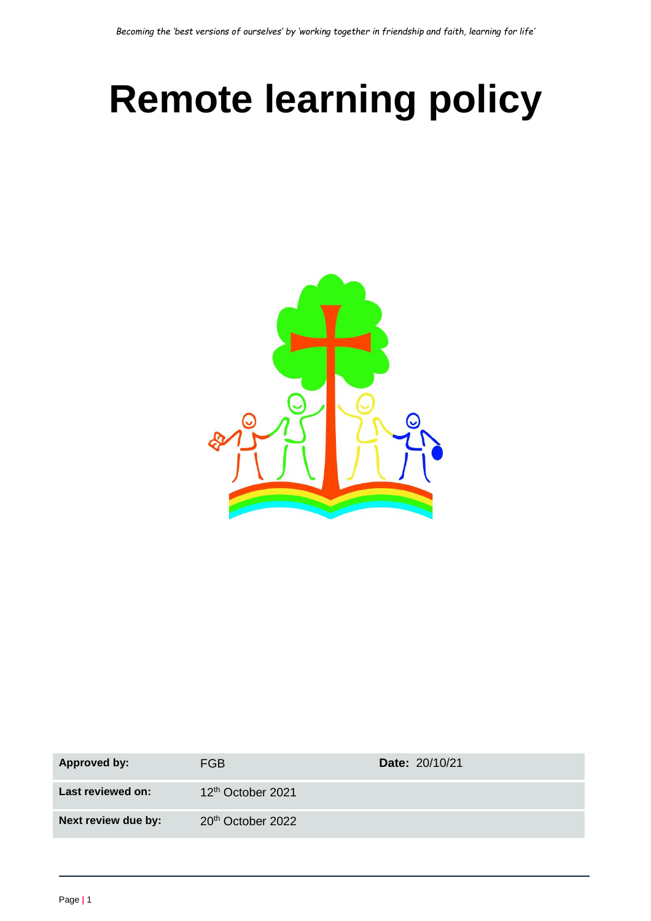# **Remote learning policy**



| <b>Approved by:</b> | FGB                           | Date: 20/10/21 |
|---------------------|-------------------------------|----------------|
| Last reviewed on:   | 12 <sup>th</sup> October 2021 |                |
| Next review due by: | 20 <sup>th</sup> October 2022 |                |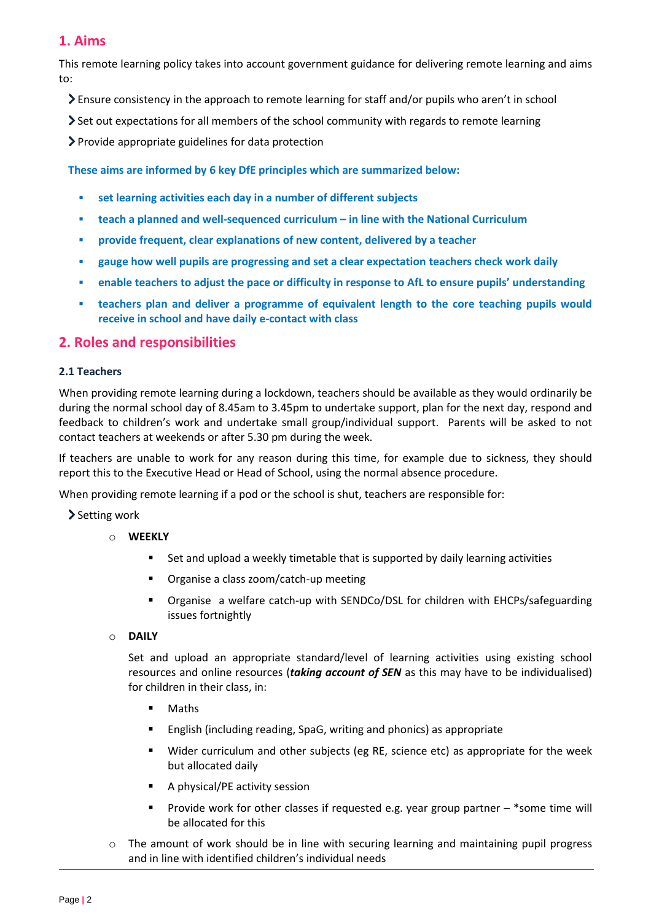# **1. Aims**

This remote learning policy takes into account government guidance for delivering remote learning and aims to:

- Ensure consistency in the approach to remote learning for staff and/or pupils who aren't in school
- Set out expectations for all members of the school community with regards to remote learning
- Provide appropriate guidelines for data protection

**These aims are informed by 6 key DfE principles which are summarized below:**

- **set learning activities each day in a number of different subjects**
- **teach a planned and well-sequenced curriculum – in line with the National Curriculum**
- **Provide frequent, clear explanations of new content, delivered by a teacher**
- **gauge how well pupils are progressing and set a clear expectation teachers check work daily**
- **enable teachers to adjust the pace or difficulty in response to AfL to ensure pupils' understanding**
- **teachers plan and deliver a programme of equivalent length to the core teaching pupils would receive in school and have daily e-contact with class**

### **2. Roles and responsibilities**

#### **2.1 Teachers**

When providing remote learning during a lockdown, teachers should be available as they would ordinarily be during the normal school day of 8.45am to 3.45pm to undertake support, plan for the next day, respond and feedback to children's work and undertake small group/individual support. Parents will be asked to not contact teachers at weekends or after 5.30 pm during the week.

If teachers are unable to work for any reason during this time, for example due to sickness, they should report this to the Executive Head or Head of School, using the normal absence procedure.

When providing remote learning if a pod or the school is shut, teachers are responsible for:

- > Setting work
	- o **WEEKLY** 
		- Set and upload a weekly timetable that is supported by daily learning activities
		- **•** Organise a class zoom/catch-up meeting
		- Organise a welfare catch-up with SENDCo/DSL for children with EHCPs/safeguarding issues fortnightly

#### o **DAILY**

Set and upload an appropriate standard/level of learning activities using existing school resources and online resources (*taking account of SEN* as this may have to be individualised) for children in their class, in:

- Maths
- **English (including reading, SpaG, writing and phonics) as appropriate**
- Wider curriculum and other subjects (eg RE, science etc) as appropriate for the week but allocated daily
- A physical/PE activity session
- Provide work for other classes if requested e.g. year group partner \*some time will be allocated for this
- The amount of work should be in line with securing learning and maintaining pupil progress and in line with identified children's individual needs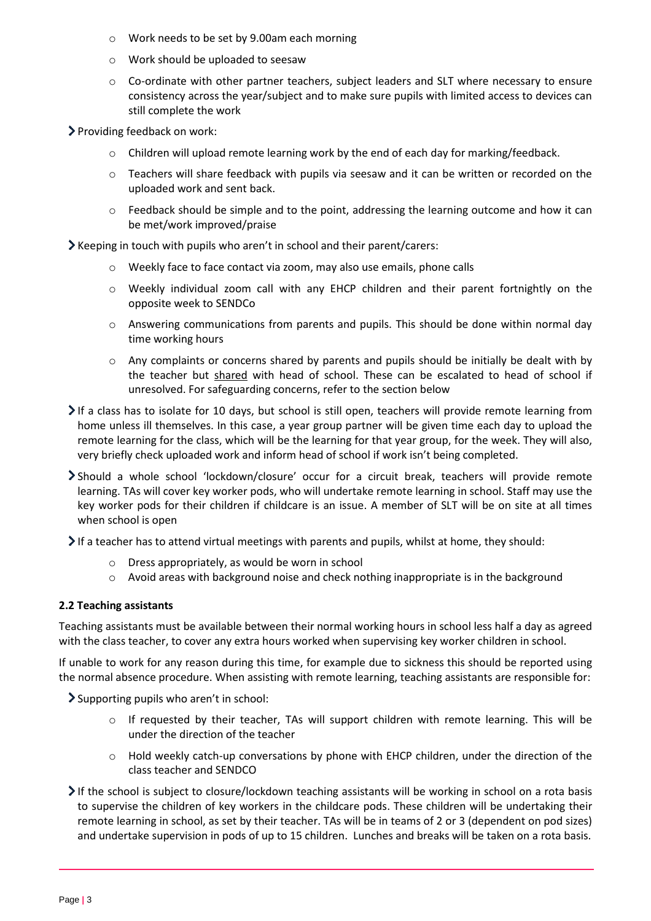- o Work needs to be set by 9.00am each morning
- o Work should be uploaded to seesaw
- o Co-ordinate with other partner teachers, subject leaders and SLT where necessary to ensure consistency across the year/subject and to make sure pupils with limited access to devices can still complete the work
- Providing feedback on work:
	- $\circ$  Children will upload remote learning work by the end of each day for marking/feedback.
	- $\circ$  Teachers will share feedback with pupils via seesaw and it can be written or recorded on the uploaded work and sent back.
	- $\circ$  Feedback should be simple and to the point, addressing the learning outcome and how it can be met/work improved/praise

Keeping in touch with pupils who aren't in school and their parent/carers:

- o Weekly face to face contact via zoom, may also use emails, phone calls
- o Weekly individual zoom call with any EHCP children and their parent fortnightly on the opposite week to SENDCo
- o Answering communications from parents and pupils. This should be done within normal day time working hours
- o Any complaints or concerns shared by parents and pupils should be initially be dealt with by the teacher but shared with head of school. These can be escalated to head of school if unresolved. For safeguarding concerns, refer to the section below
- If a class has to isolate for 10 days, but school is still open, teachers will provide remote learning from home unless ill themselves. In this case, a year group partner will be given time each day to upload the remote learning for the class, which will be the learning for that year group, for the week. They will also, very briefly check uploaded work and inform head of school if work isn't being completed.
- Should a whole school 'lockdown/closure' occur for a circuit break, teachers will provide remote learning. TAs will cover key worker pods, who will undertake remote learning in school. Staff may use the key worker pods for their children if childcare is an issue. A member of SLT will be on site at all times when school is open

If a teacher has to attend virtual meetings with parents and pupils, whilst at home, they should:

- o Dress appropriately, as would be worn in school
- $\circ$  Avoid areas with background noise and check nothing inappropriate is in the background

#### **2.2 Teaching assistants**

Teaching assistants must be available between their normal working hours in school less half a day as agreed with the class teacher, to cover any extra hours worked when supervising key worker children in school.

If unable to work for any reason during this time, for example due to sickness this should be reported using the normal absence procedure. When assisting with remote learning, teaching assistants are responsible for:

Supporting pupils who aren't in school:

- o If requested by their teacher, TAs will support children with remote learning. This will be under the direction of the teacher
- o Hold weekly catch-up conversations by phone with EHCP children, under the direction of the class teacher and SENDCO
- If the school is subject to closure/lockdown teaching assistants will be working in school on a rota basis to supervise the children of key workers in the childcare pods. These children will be undertaking their remote learning in school, as set by their teacher. TAs will be in teams of 2 or 3 (dependent on pod sizes) and undertake supervision in pods of up to 15 children. Lunches and breaks will be taken on a rota basis.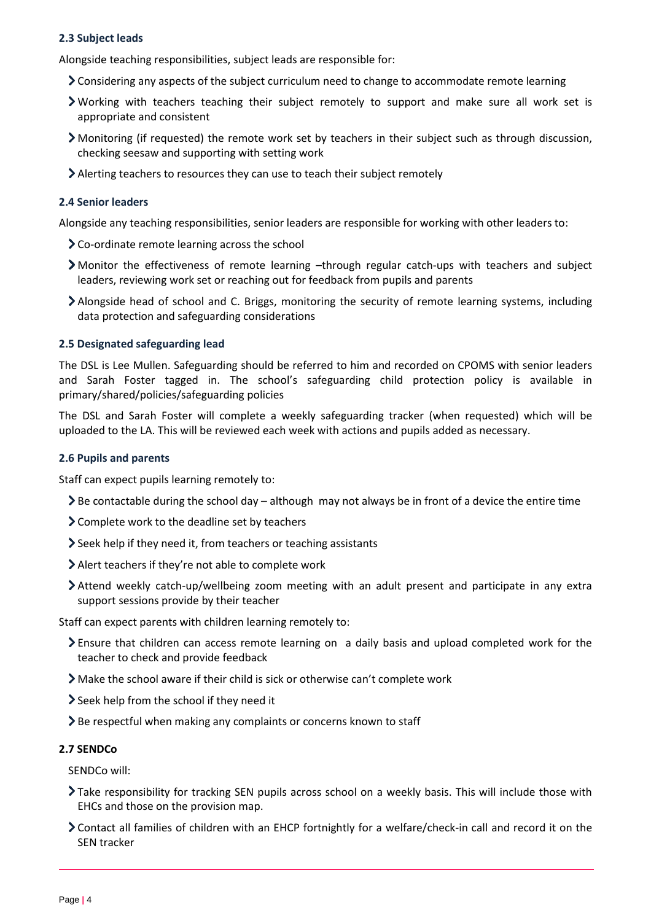#### **2.3 Subject leads**

Alongside teaching responsibilities, subject leads are responsible for:

- Considering any aspects of the subject curriculum need to change to accommodate remote learning
- Working with teachers teaching their subject remotely to support and make sure all work set is appropriate and consistent
- Monitoring (if requested) the remote work set by teachers in their subject such as through discussion, checking seesaw and supporting with setting work
- Alerting teachers to resources they can use to teach their subject remotely

#### **2.4 Senior leaders**

Alongside any teaching responsibilities, senior leaders are responsible for working with other leaders to:

- Co-ordinate remote learning across the school
- Monitor the effectiveness of remote learning –through regular catch-ups with teachers and subject leaders, reviewing work set or reaching out for feedback from pupils and parents
- Alongside head of school and C. Briggs, monitoring the security of remote learning systems, including data protection and safeguarding considerations

#### **2.5 Designated safeguarding lead**

The DSL is Lee Mullen. Safeguarding should be referred to him and recorded on CPOMS with senior leaders and Sarah Foster tagged in. The school's safeguarding child protection policy is available in primary/shared/policies/safeguarding policies

The DSL and Sarah Foster will complete a weekly safeguarding tracker (when requested) which will be uploaded to the LA. This will be reviewed each week with actions and pupils added as necessary.

#### **2.6 Pupils and parents**

Staff can expect pupils learning remotely to:

- Be contactable during the school day although may not always be in front of a device the entire time
- $\sum_{n=1}^{\infty}$  Complete work to the deadline set by teachers
- Seek help if they need it, from teachers or teaching assistants
- Alert teachers if they're not able to complete work
- Attend weekly catch-up/wellbeing zoom meeting with an adult present and participate in any extra support sessions provide by their teacher

Staff can expect parents with children learning remotely to:

- Ensure that children can access remote learning on a daily basis and upload completed work for the teacher to check and provide feedback
- Make the school aware if their child is sick or otherwise can't complete work
- Seek help from the school if they need it
- ▶ Be respectful when making any complaints or concerns known to staff

#### **2.7 SENDCo**

SENDCo will:

- Take responsibility for tracking SEN pupils across school on a weekly basis. This will include those with EHCs and those on the provision map.
- Contact all families of children with an EHCP fortnightly for a welfare/check-in call and record it on the SEN tracker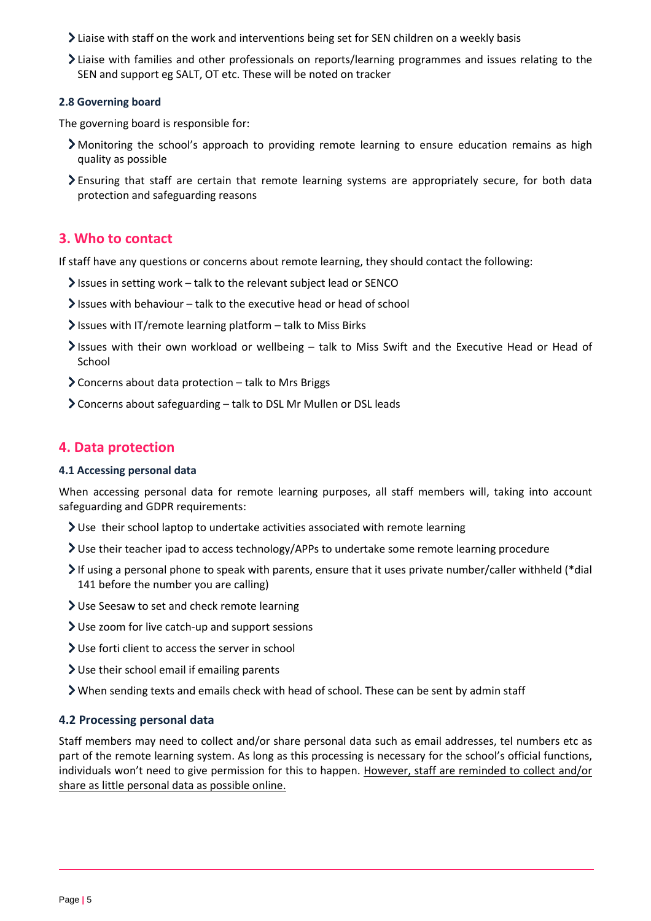- Liaise with staff on the work and interventions being set for SEN children on a weekly basis
- Liaise with families and other professionals on reports/learning programmes and issues relating to the SEN and support eg SALT, OT etc. These will be noted on tracker

#### **2.8 Governing board**

The governing board is responsible for:

- Monitoring the school's approach to providing remote learning to ensure education remains as high quality as possible
- Ensuring that staff are certain that remote learning systems are appropriately secure, for both data protection and safeguarding reasons

# **3. Who to contact**

If staff have any questions or concerns about remote learning, they should contact the following:

- $\blacktriangleright$  Issues in setting work talk to the relevant subject lead or SENCO
- $\blacktriangleright$  Issues with behaviour talk to the executive head or head of school
- $\blacktriangleright$  Issues with IT/remote learning platform talk to Miss Birks
- Issues with their own workload or wellbeing talk to Miss Swift and the Executive Head or Head of School
- Concerns about data protection talk to Mrs Briggs
- Concerns about safeguarding talk to DSL Mr Mullen or DSL leads

## **4. Data protection**

#### **4.1 Accessing personal data**

When accessing personal data for remote learning purposes, all staff members will, taking into account safeguarding and GDPR requirements:

- Use their school laptop to undertake activities associated with remote learning
- Use their teacher ipad to access technology/APPs to undertake some remote learning procedure
- If using a personal phone to speak with parents, ensure that it uses private number/caller withheld (\*dial 141 before the number you are calling)
- Use Seesaw to set and check remote learning
- Use zoom for live catch-up and support sessions
- Use forti client to access the server in school
- Use their school email if emailing parents
- When sending texts and emails check with head of school. These can be sent by admin staff

#### **4.2 Processing personal data**

Staff members may need to collect and/or share personal data such as email addresses, tel numbers etc as part of the remote learning system. As long as this processing is necessary for the school's official functions, individuals won't need to give permission for this to happen. However, staff are reminded to collect and/or share as little personal data as possible online.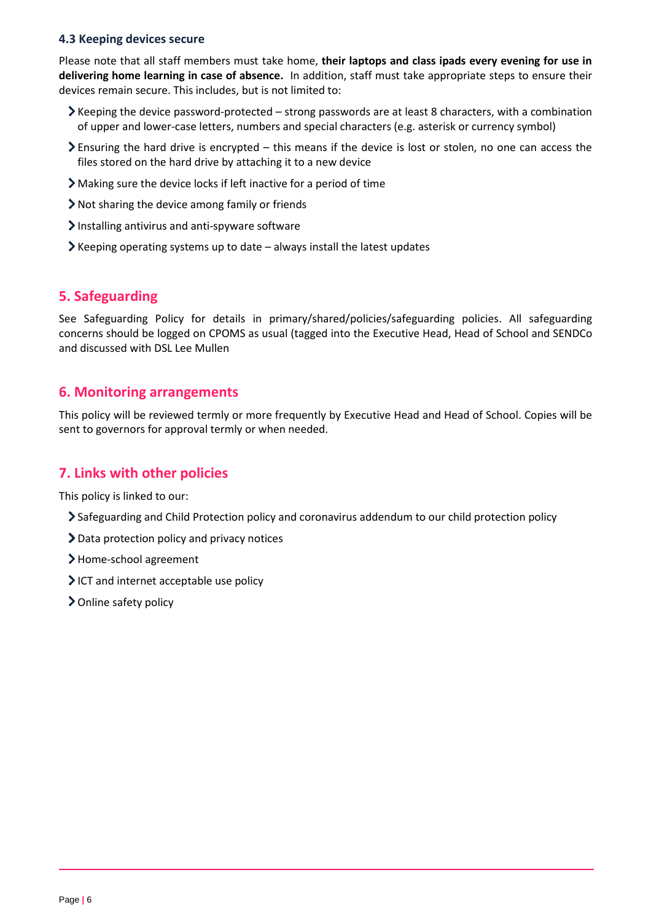#### **4.3 Keeping devices secure**

Please note that all staff members must take home, **their laptops and class ipads every evening for use in delivering home learning in case of absence.** In addition, staff must take appropriate steps to ensure their devices remain secure. This includes, but is not limited to:

- $\blacktriangleright$  Keeping the device password-protected strong passwords are at least 8 characters, with a combination of upper and lower-case letters, numbers and special characters (e.g. asterisk or currency symbol)
- Ensuring the hard drive is encrypted this means if the device is lost or stolen, no one can access the files stored on the hard drive by attaching it to a new device
- Making sure the device locks if left inactive for a period of time
- Not sharing the device among family or friends
- $\blacktriangleright$  Installing antivirus and anti-spyware software
- $\blacktriangleright$  Keeping operating systems up to date always install the latest updates

# **5. Safeguarding**

See Safeguarding Policy for details in primary/shared/policies/safeguarding policies. All safeguarding concerns should be logged on CPOMS as usual (tagged into the Executive Head, Head of School and SENDCo and discussed with DSL Lee Mullen

## **6. Monitoring arrangements**

This policy will be reviewed termly or more frequently by Executive Head and Head of School. Copies will be sent to governors for approval termly or when needed.

## **7. Links with other policies**

This policy is linked to our:

- Safeguarding and Child Protection policy and coronavirus addendum to our child protection policy
- > Data protection policy and privacy notices
- > Home-school agreement
- $\blacktriangleright$  ICT and internet acceptable use policy
- > Online safety policy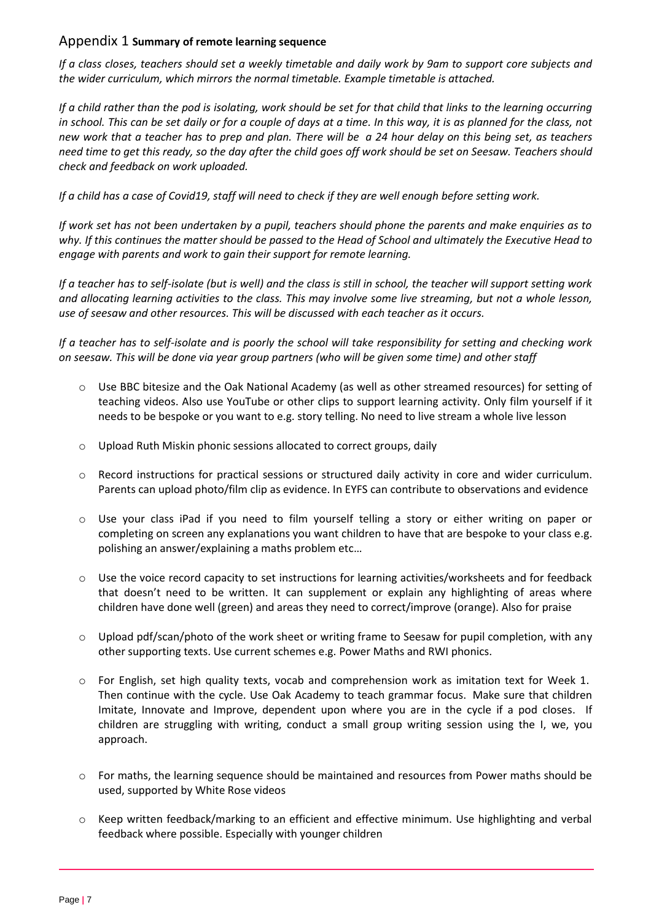## Appendix 1 **Summary of remote learning sequence**

*If a class closes, teachers should set a weekly timetable and daily work by 9am to support core subjects and the wider curriculum, which mirrors the normal timetable. Example timetable is attached.* 

*If a child rather than the pod is isolating, work should be set for that child that links to the learning occurring in school. This can be set daily or for a couple of days at a time. In this way, it is as planned for the class, not new work that a teacher has to prep and plan. There will be a 24 hour delay on this being set, as teachers need time to get this ready, so the day after the child goes off work should be set on Seesaw. Teachers should check and feedback on work uploaded.* 

*If a child has a case of Covid19, staff will need to check if they are well enough before setting work.*

*If work set has not been undertaken by a pupil, teachers should phone the parents and make enquiries as to why. If this continues the matter should be passed to the Head of School and ultimately the Executive Head to engage with parents and work to gain their support for remote learning.* 

*If a teacher has to self-isolate (but is well) and the class is still in school, the teacher will support setting work and allocating learning activities to the class. This may involve some live streaming, but not a whole lesson, use of seesaw and other resources. This will be discussed with each teacher as it occurs.* 

*If a teacher has to self-isolate and is poorly the school will take responsibility for setting and checking work on seesaw. This will be done via year group partners (who will be given some time) and other staff* 

- o Use BBC bitesize and the Oak National Academy (as well as other streamed resources) for setting of teaching videos. Also use YouTube or other clips to support learning activity. Only film yourself if it needs to be bespoke or you want to e.g. story telling. No need to live stream a whole live lesson
- o Upload Ruth Miskin phonic sessions allocated to correct groups, daily
- o Record instructions for practical sessions or structured daily activity in core and wider curriculum. Parents can upload photo/film clip as evidence. In EYFS can contribute to observations and evidence
- o Use your class iPad if you need to film yourself telling a story or either writing on paper or completing on screen any explanations you want children to have that are bespoke to your class e.g. polishing an answer/explaining a maths problem etc…
- o Use the voice record capacity to set instructions for learning activities/worksheets and for feedback that doesn't need to be written. It can supplement or explain any highlighting of areas where children have done well (green) and areas they need to correct/improve (orange). Also for praise
- $\circ$  Upload pdf/scan/photo of the work sheet or writing frame to Seesaw for pupil completion, with any other supporting texts. Use current schemes e.g. Power Maths and RWI phonics.
- o For English, set high quality texts, vocab and comprehension work as imitation text for Week 1. Then continue with the cycle. Use Oak Academy to teach grammar focus. Make sure that children Imitate, Innovate and Improve, dependent upon where you are in the cycle if a pod closes. If children are struggling with writing, conduct a small group writing session using the I, we, you approach.
- o For maths, the learning sequence should be maintained and resources from Power maths should be used, supported by White Rose videos
- o Keep written feedback/marking to an efficient and effective minimum. Use highlighting and verbal feedback where possible. Especially with younger children